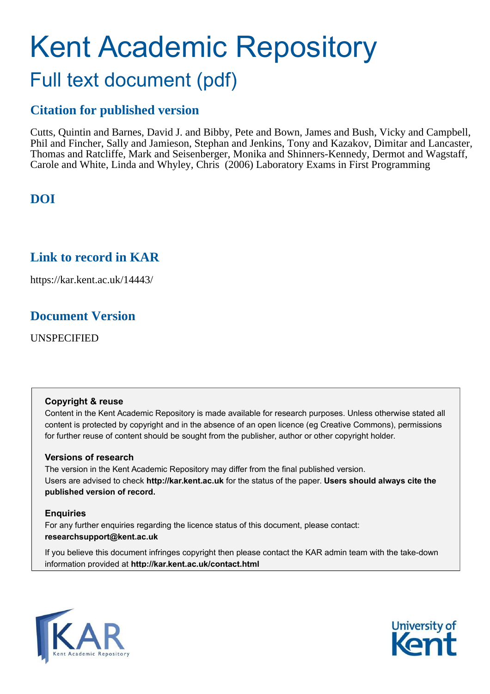# Kent Academic Repository Full text document (pdf)

# **Citation for published version**

Cutts, Quintin and Barnes, David J. and Bibby, Pete and Bown, James and Bush, Vicky and Campbell, Phil and Fincher, Sally and Jamieson, Stephan and Jenkins, Tony and Kazakov, Dimitar and Lancaster, Thomas and Ratcliffe, Mark and Seisenberger, Monika and Shinners-Kennedy, Dermot and Wagstaff, Carole and White, Linda and Whyley, Chris (2006) Laboratory Exams in First Programming

# **DOI**

## **Link to record in KAR**

https://kar.kent.ac.uk/14443/

## **Document Version**

UNSPECIFIED

#### **Copyright & reuse**

Content in the Kent Academic Repository is made available for research purposes. Unless otherwise stated all content is protected by copyright and in the absence of an open licence (eg Creative Commons), permissions for further reuse of content should be sought from the publisher, author or other copyright holder.

#### **Versions of research**

The version in the Kent Academic Repository may differ from the final published version. Users are advised to check **http://kar.kent.ac.uk** for the status of the paper. **Users should always cite the published version of record.**

#### **Enquiries**

For any further enquiries regarding the licence status of this document, please contact: **researchsupport@kent.ac.uk**

If you believe this document infringes copyright then please contact the KAR admin team with the take-down information provided at **http://kar.kent.ac.uk/contact.html**



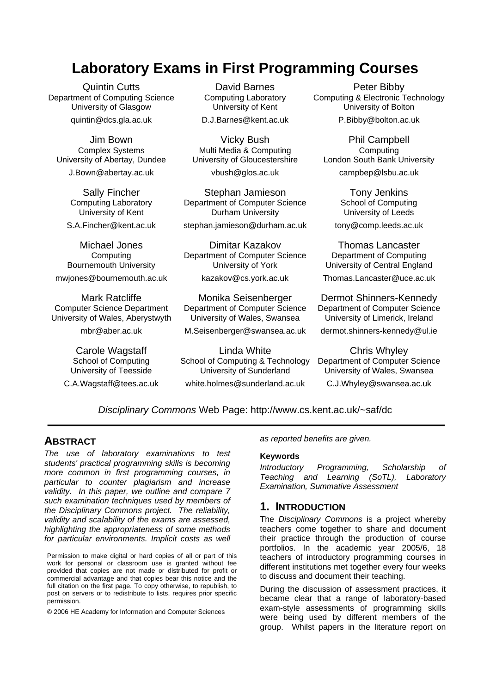# **Laboratory Exams in First Programming Courses**

Quintin Cutts Department of Computing Science University of Glasgow quintin@dcs.gla.ac.uk

Jim Bown Complex Systems University of Abertay, Dundee J.Bown@abertay.ac.uk

> Sally Fincher Computing Laboratory University of Kent S.A.Fincher@kent.ac.uk

Michael Jones **Computing** Bournemouth University mwjones@bournemouth.ac.uk

Mark Ratcliffe Computer Science Department University of Wales, Aberystwyth

mbr@aber.ac.uk

Carole Wagstaff School of Computing University of Teesside

C.A.Wagstaff@tees.ac.uk

David Barnes Computing Laboratory University of Kent D.J.Barnes@kent.ac.uk

Vicky Bush Multi Media & Computing University of Gloucestershire

vbush@glos.ac.uk

Stephan Jamieson Department of Computer Science Durham University stephan.jamieson@durham.ac.uk

Dimitar Kazakov Department of Computer Science University of York kazakov@cs.york.ac.uk

Monika Seisenberger Department of Computer Science University of Wales, Swansea

M.Seisenberger@swansea.ac.uk

Linda White School of Computing & Technology University of Sunderland white.holmes@sunderland.ac.uk

Peter Bibby Computing & Electronic Technology University of Bolton P.Bibby@bolton.ac.uk

Phil Campbell **Computing** London South Bank University campbep@lsbu.ac.uk

Tony Jenkins School of Computing University of Leeds tony@comp.leeds.ac.uk

Thomas Lancaster Department of Computing University of Central England

Thomas.Lancaster@uce.ac.uk

Dermot Shinners-Kennedy Department of Computer Science University of Limerick, Ireland

dermot.shinners-kennedy@ul.ie

Chris Whyley Department of Computer Science University of Wales, Swansea C.J.Whyley@swansea.ac.uk

Disciplinary Commons Web Page: http://www.cs.kent.ac.uk/~saf/dc

#### **ABSTRACT**

The use of laboratory examinations to test students' practical programming skills is becoming more common in first programming courses, in particular to counter plagiarism and increase validity. In this paper, we outline and compare 7 such examination techniques used by members of the Disciplinary Commons project. The reliability, validity and scalability of the exams are assessed, highlighting the appropriateness of some methods for particular environments. Implicit costs as well

Permission to make digital or hard copies of all or part of this work for personal or classroom use is granted without fee provided that copies are not made or distributed for profit or commercial advantage and that copies bear this notice and the full citation on the first page. To copy otherwise, to republish, to post on servers or to redistribute to lists, requires prior specific permission.

© 2006 HE Academy for Information and Computer Sciences

as reported benefits are given.

#### **Keywords**

Introductory Programming, Scholarship of Teaching and Learning (SoTL), Laboratory Examination, Summative Assessment

#### **1. INTRODUCTION**

The Disciplinary Commons is a project whereby teachers come together to share and document their practice through the production of course portfolios. In the academic year 2005/6, 18 teachers of introductory programming courses in different institutions met together every four weeks to discuss and document their teaching.

During the discussion of assessment practices, it became clear that a range of laboratory-based exam-style assessments of programming skills were being used by different members of the group. Whilst papers in the literature report on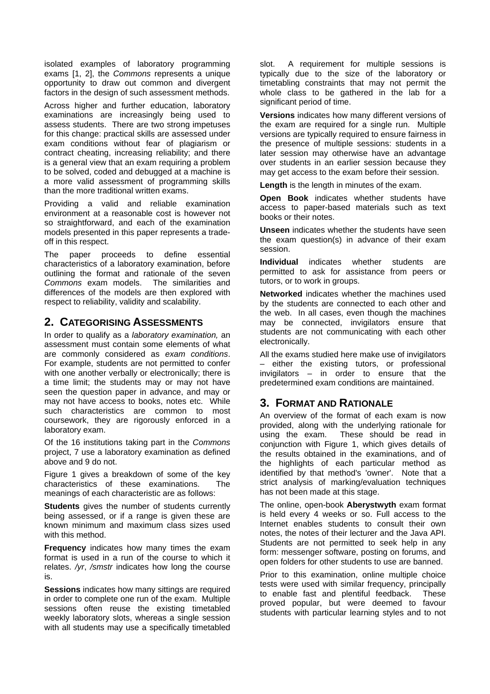isolated examples of laboratory programming exams [1, 2], the Commons represents a unique opportunity to draw out common and divergent factors in the design of such assessment methods.

Across higher and further education, laboratory examinations are increasingly being used to assess students. There are two strong impetuses for this change: practical skills are assessed under exam conditions without fear of plagiarism or contract cheating, increasing reliability; and there is a general view that an exam requiring a problem to be solved, coded and debugged at a machine is a more valid assessment of programming skills than the more traditional written exams.

Providing a valid and reliable examination environment at a reasonable cost is however not so straightforward, and each of the examination models presented in this paper represents a tradeoff in this respect.

The paper proceeds to define essential characteristics of a laboratory examination, before outlining the format and rationale of the seven Commons exam models. The similarities and differences of the models are then explored with respect to reliability, validity and scalability.

#### **2. CATEGORISING ASSESSMENTS**

In order to qualify as a *laboratory examination*, an assessment must contain some elements of what are commonly considered as exam conditions. For example, students are not permitted to confer with one another verbally or electronically; there is a time limit; the students may or may not have seen the question paper in advance, and may or may not have access to books, notes etc. While such characteristics are common to most coursework, they are rigorously enforced in a laboratory exam.

Of the 16 institutions taking part in the Commons project, 7 use a laboratory examination as defined above and 9 do not.

Figure 1 gives a breakdown of some of the key characteristics of these examinations. The meanings of each characteristic are as follows:

**Students** gives the number of students currently being assessed, or if a range is given these are known minimum and maximum class sizes used with this method.

**Frequency** indicates how many times the exam format is used in a run of the course to which it relates. /yr, /smstr indicates how long the course is.

**Sessions** indicates how many sittings are required in order to complete one run of the exam. Multiple sessions often reuse the existing timetabled weekly laboratory slots, whereas a single session with all students may use a specifically timetabled

slot. A requirement for multiple sessions is typically due to the size of the laboratory or timetabling constraints that may not permit the whole class to be gathered in the lab for a significant period of time.

**Versions** indicates how many different versions of the exam are required for a single run. Multiple versions are typically required to ensure fairness in the presence of multiple sessions: students in a later session may otherwise have an advantage over students in an earlier session because they may get access to the exam before their session.

**Length** is the length in minutes of the exam.

**Open Book** indicates whether students have access to paper-based materials such as text books or their notes.

**Unseen** indicates whether the students have seen the exam question(s) in advance of their exam session.

**Individual** indicates whether students are permitted to ask for assistance from peers or tutors, or to work in groups.

**Networked** indicates whether the machines used by the students are connected to each other and the web. In all cases, even though the machines may be connected, invigilators ensure that students are not communicating with each other electronically.

All the exams studied here make use of invigilators – either the existing tutors, or professional invigilators – in order to ensure that the predetermined exam conditions are maintained.

#### **3. FORMAT AND RATIONALE**

An overview of the format of each exam is now provided, along with the underlying rationale for using the exam. These should be read in conjunction with Figure 1, which gives details of the results obtained in the examinations, and of the highlights of each particular method as identified by that method's 'owner'. Note that a strict analysis of marking/evaluation techniques has not been made at this stage.

The online, open-book **Aberystwyth** exam format is held every 4 weeks or so. Full access to the Internet enables students to consult their own notes, the notes of their lecturer and the Java API. Students are not permitted to seek help in any form: messenger software, posting on forums, and open folders for other students to use are banned.

Prior to this examination, online multiple choice tests were used with similar frequency, principally to enable fast and plentiful feedback. These proved popular, but were deemed to favour students with particular learning styles and to not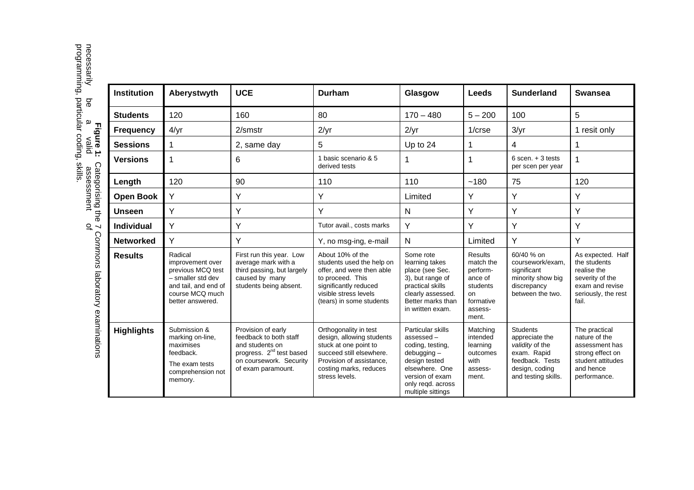programming, particular coding, skills. **Figure 1:** Categorising the 7 Commons laboratory examinations<br>necessarily be a valid assessment of<br>programming, particular coding, skills. Categorising the 7 Commons laboratory examinations

| <b>Institution</b> | Aberystwyth                                                                                                                          | <b>UCE</b>                                                                                                                                               | <b>Durham</b>                                                                                                                                                                   | Glasgow                                                                                                                                                             | <b>Leeds</b>                                                                                   | <b>Sunderland</b>                                                                                                               | <b>Swansea</b>                                                                                                         |
|--------------------|--------------------------------------------------------------------------------------------------------------------------------------|----------------------------------------------------------------------------------------------------------------------------------------------------------|---------------------------------------------------------------------------------------------------------------------------------------------------------------------------------|---------------------------------------------------------------------------------------------------------------------------------------------------------------------|------------------------------------------------------------------------------------------------|---------------------------------------------------------------------------------------------------------------------------------|------------------------------------------------------------------------------------------------------------------------|
| <b>Students</b>    | 120                                                                                                                                  | 160                                                                                                                                                      | 80                                                                                                                                                                              | $170 - 480$                                                                                                                                                         | $5 - 200$                                                                                      | 100                                                                                                                             | 5                                                                                                                      |
| <b>Frequency</b>   | 4/yr                                                                                                                                 | 2/smstr                                                                                                                                                  | 2/yr                                                                                                                                                                            | 2/yr                                                                                                                                                                | $1/c$ rse                                                                                      | 3/yr                                                                                                                            | 1 resit only                                                                                                           |
| <b>Sessions</b>    | 1                                                                                                                                    | 2, same day                                                                                                                                              | 5                                                                                                                                                                               | Up to 24                                                                                                                                                            | 1                                                                                              | 4                                                                                                                               | 1                                                                                                                      |
| <b>Versions</b>    | 1                                                                                                                                    | 6                                                                                                                                                        | 1 basic scenario & 5<br>derived tests                                                                                                                                           | 1                                                                                                                                                                   | 1                                                                                              | $6$ scen. $+3$ tests<br>per scen per year                                                                                       | 1                                                                                                                      |
| Length             | 120                                                                                                                                  | 90                                                                                                                                                       | 110                                                                                                                                                                             | 110                                                                                                                                                                 | ~180                                                                                           | 75                                                                                                                              | 120                                                                                                                    |
| <b>Open Book</b>   | Y                                                                                                                                    | Y                                                                                                                                                        | Y                                                                                                                                                                               | Limited                                                                                                                                                             | Y                                                                                              | Υ                                                                                                                               | Y                                                                                                                      |
| <b>Unseen</b>      | Y                                                                                                                                    | Y                                                                                                                                                        | Y                                                                                                                                                                               | N                                                                                                                                                                   | Y                                                                                              | Y                                                                                                                               | Y                                                                                                                      |
| <b>Individual</b>  | Y                                                                                                                                    | Y                                                                                                                                                        | Tutor avail., costs marks                                                                                                                                                       | Y                                                                                                                                                                   | Y                                                                                              | Υ                                                                                                                               | Y                                                                                                                      |
| <b>Networked</b>   | Y                                                                                                                                    | Y                                                                                                                                                        | Y, no msg-ing, e-mail                                                                                                                                                           | N                                                                                                                                                                   | Limited                                                                                        | Y                                                                                                                               | Y                                                                                                                      |
| <b>Results</b>     | Radical<br>improvement over<br>previous MCQ test<br>- smaller std dev<br>and tail, and end of<br>course MCQ much<br>better answered. | First run this year. Low<br>average mark with a<br>third passing, but largely<br>caused by many<br>students being absent.                                | About 10% of the<br>students used the help on<br>offer, and were then able<br>to proceed. This<br>significantly reduced<br>visible stress levels<br>(tears) in some students    | Some rote<br>learning takes<br>place (see Sec.<br>3), but range of<br>practical skills<br>clearly assessed.<br>Better marks than<br>in written exam.                | Results<br>match the<br>perform-<br>ance of<br>students<br>on<br>formative<br>assess-<br>ment. | 60/40 % on<br>coursework/exam.<br>significant<br>minority show big<br>discrepancy<br>between the two.                           | As expected. Half<br>the students<br>realise the<br>severity of the<br>exam and revise<br>seriously, the rest<br>fail. |
| <b>Highlights</b>  | Submission &<br>marking on-line,<br>maximises<br>feedback.<br>The exam tests<br>comprehension not<br>memory.                         | Provision of early<br>feedback to both staff<br>and students on<br>progress. 2 <sup>nd</sup> test based<br>on coursework. Security<br>of exam paramount. | Orthogonality in test<br>design, allowing students<br>stuck at one point to<br>succeed still elsewhere.<br>Provision of assistance.<br>costing marks, reduces<br>stress levels. | Particular skills<br>assessed-<br>coding, testing,<br>$debugging -$<br>design tested<br>elsewhere. One<br>version of exam<br>only regd. across<br>multiple sittings | Matching<br>intended<br>learning<br>outcomes<br>with<br>assess-<br>ment.                       | <b>Students</b><br>appreciate the<br>validity of the<br>exam. Rapid<br>feedback. Tests<br>design, coding<br>and testing skills. | The practical<br>nature of the<br>assessment has<br>strong effect on<br>student attitudes<br>and hence<br>performance. |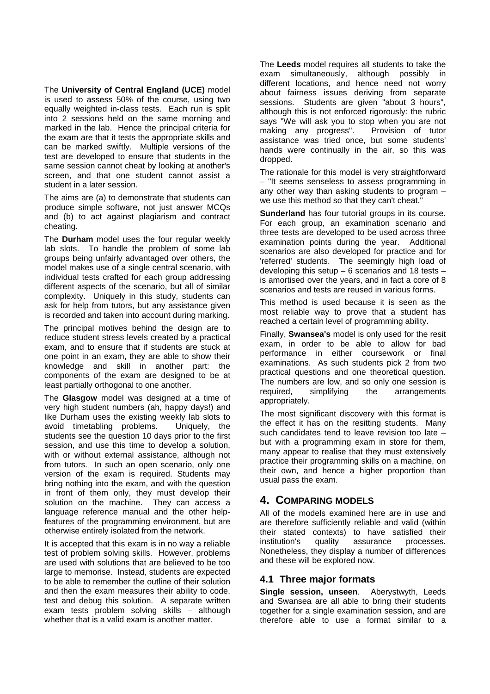The **University of Central England (UCE)** model is used to assess 50% of the course, using two equally weighted in-class tests. Each run is split into 2 sessions held on the same morning and marked in the lab. Hence the principal criteria for the exam are that it tests the appropriate skills and can be marked swiftly. Multiple versions of the test are developed to ensure that students in the same session cannot cheat by looking at another's screen, and that one student cannot assist a student in a later session.

The aims are (a) to demonstrate that students can produce simple software, not just answer MCQs and (b) to act against plagiarism and contract cheating.

The **Durham** model uses the four regular weekly lab slots. To handle the problem of some lab groups being unfairly advantaged over others, the model makes use of a single central scenario, with individual tests crafted for each group addressing different aspects of the scenario, but all of similar complexity. Uniquely in this study, students can ask for help from tutors, but any assistance given is recorded and taken into account during marking.

The principal motives behind the design are to reduce student stress levels created by a practical exam, and to ensure that if students are stuck at one point in an exam, they are able to show their knowledge and skill in another part: the components of the exam are designed to be at least partially orthogonal to one another.

The **Glasgow** model was designed at a time of very high student numbers (ah, happy days!) and like Durham uses the existing weekly lab slots to avoid timetabling problems. Uniquely, the students see the question 10 days prior to the first session, and use this time to develop a solution, with or without external assistance, although not from tutors. In such an open scenario, only one version of the exam is required. Students may bring nothing into the exam, and with the question in front of them only, they must develop their solution on the machine. They can access a language reference manual and the other helpfeatures of the programming environment, but are otherwise entirely isolated from the network.

It is accepted that this exam is in no way a reliable test of problem solving skills. However, problems are used with solutions that are believed to be too large to memorise. Instead, students are expected to be able to remember the outline of their solution and then the exam measures their ability to code, test and debug this solution. A separate written exam tests problem solving skills – although whether that is a valid exam is another matter.

The **Leeds** model requires all students to take the exam simultaneously, although possibly in different locations, and hence need not worry about fairness issues deriving from separate sessions. Students are given "about 3 hours", although this is not enforced rigorously: the rubric says "We will ask you to stop when you are not<br>making any progress". Provision of tutor making any progress". assistance was tried once, but some students' hands were continually in the air, so this was dropped.

The rationale for this model is very straightforward – "It seems senseless to assess programming in any other way than asking students to program – we use this method so that they can't cheat."

**Sunderland** has four tutorial groups in its course. For each group, an examination scenario and three tests are developed to be used across three examination points during the year. Additional scenarios are also developed for practice and for 'referred' students. The seemingly high load of developing this setup – 6 scenarios and 18 tests – is amortised over the years, and in fact a core of 8 scenarios and tests are reused in various forms.

This method is used because it is seen as the most reliable way to prove that a student has reached a certain level of programming ability.

Finally, **Swansea's** model is only used for the resit exam, in order to be able to allow for bad performance in either coursework or final examinations. As such students pick 2 from two practical questions and one theoretical question. The numbers are low, and so only one session is required, simplifying the arrangements appropriately.

The most significant discovery with this format is the effect it has on the resitting students. Many such candidates tend to leave revision too late – but with a programming exam in store for them, many appear to realise that they must extensively practice their programming skills on a machine, on their own, and hence a higher proportion than usual pass the exam.

#### **4. COMPARING MODELS**

All of the models examined here are in use and are therefore sufficiently reliable and valid (within their stated contexts) to have satisfied their institution's quality assurance processes. Nonetheless, they display a number of differences and these will be explored now.

#### **4.1 Three major formats**

**Single session, unseen**. Aberystwyth, Leeds and Swansea are all able to bring their students together for a single examination session, and are therefore able to use a format similar to a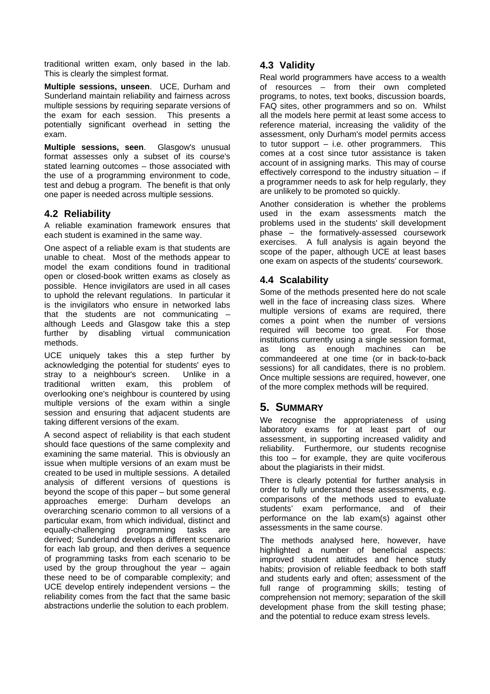traditional written exam, only based in the lab. This is clearly the simplest format.

**Multiple sessions, unseen**. UCE, Durham and Sunderland maintain reliability and fairness across multiple sessions by requiring separate versions of the exam for each session. This presents a potentially significant overhead in setting the exam.

**Multiple sessions, seen**. Glasgow's unusual format assesses only a subset of its course's stated learning outcomes – those associated with the use of a programming environment to code, test and debug a program. The benefit is that only one paper is needed across multiple sessions.

#### **4.2 Reliability**

A reliable examination framework ensures that each student is examined in the same way.

One aspect of a reliable exam is that students are unable to cheat. Most of the methods appear to model the exam conditions found in traditional open or closed-book written exams as closely as possible. Hence invigilators are used in all cases to uphold the relevant regulations. In particular it is the invigilators who ensure in networked labs that the students are not communicating – although Leeds and Glasgow take this a step further by disabling virtual communication disabling virtual communication methods.

UCE uniquely takes this a step further by acknowledging the potential for students' eyes to stray to a neighbour's screen. Unlike in a traditional written exam, this problem of overlooking one's neighbour is countered by using multiple versions of the exam within a single session and ensuring that adjacent students are taking different versions of the exam.

A second aspect of reliability is that each student should face questions of the same complexity and examining the same material. This is obviously an issue when multiple versions of an exam must be created to be used in multiple sessions. A detailed analysis of different versions of questions is beyond the scope of this paper – but some general approaches emerge: Durham develops an overarching scenario common to all versions of a particular exam, from which individual, distinct and equally-challenging programming tasks are derived; Sunderland develops a different scenario for each lab group, and then derives a sequence of programming tasks from each scenario to be used by the group throughout the year  $-$  again these need to be of comparable complexity; and UCE develop entirely independent versions – the reliability comes from the fact that the same basic abstractions underlie the solution to each problem.

#### **4.3 Validity**

Real world programmers have access to a wealth of resources – from their own completed programs, to notes, text books, discussion boards, FAQ sites, other programmers and so on. Whilst all the models here permit at least some access to reference material, increasing the validity of the assessment, only Durham's model permits access to tutor support – i.e. other programmers. This comes at a cost since tutor assistance is taken account of in assigning marks. This may of course effectively correspond to the industry situation – if a programmer needs to ask for help regularly, they are unlikely to be promoted so quickly.

Another consideration is whether the problems used in the exam assessments match the problems used in the students' skill development phase – the formatively-assessed coursework exercises. A full analysis is again beyond the scope of the paper, although UCE at least bases one exam on aspects of the students' coursework.

#### **4.4 Scalability**

Some of the methods presented here do not scale well in the face of increasing class sizes. Where multiple versions of exams are required, there comes a point when the number of versions required will become too great. For those institutions currently using a single session format, as long as enough machines can be commandeered at one time (or in back-to-back sessions) for all candidates, there is no problem. Once multiple sessions are required, however, one of the more complex methods will be required.

#### **5. SUMMARY**

We recognise the appropriateness of using laboratory exams for at least part of our assessment, in supporting increased validity and reliability. Furthermore, our students recognise this too  $-$  for example, they are quite vociferous about the plagiarists in their midst.

There is clearly potential for further analysis in order to fully understand these assessments, e.g. comparisons of the methods used to evaluate students' exam performance, and of their performance on the lab exam(s) against other assessments in the same course.

The methods analysed here, however, have highlighted a number of beneficial aspects: improved student attitudes and hence study habits; provision of reliable feedback to both staff and students early and often; assessment of the full range of programming skills; testing of comprehension not memory; separation of the skill development phase from the skill testing phase; and the potential to reduce exam stress levels.